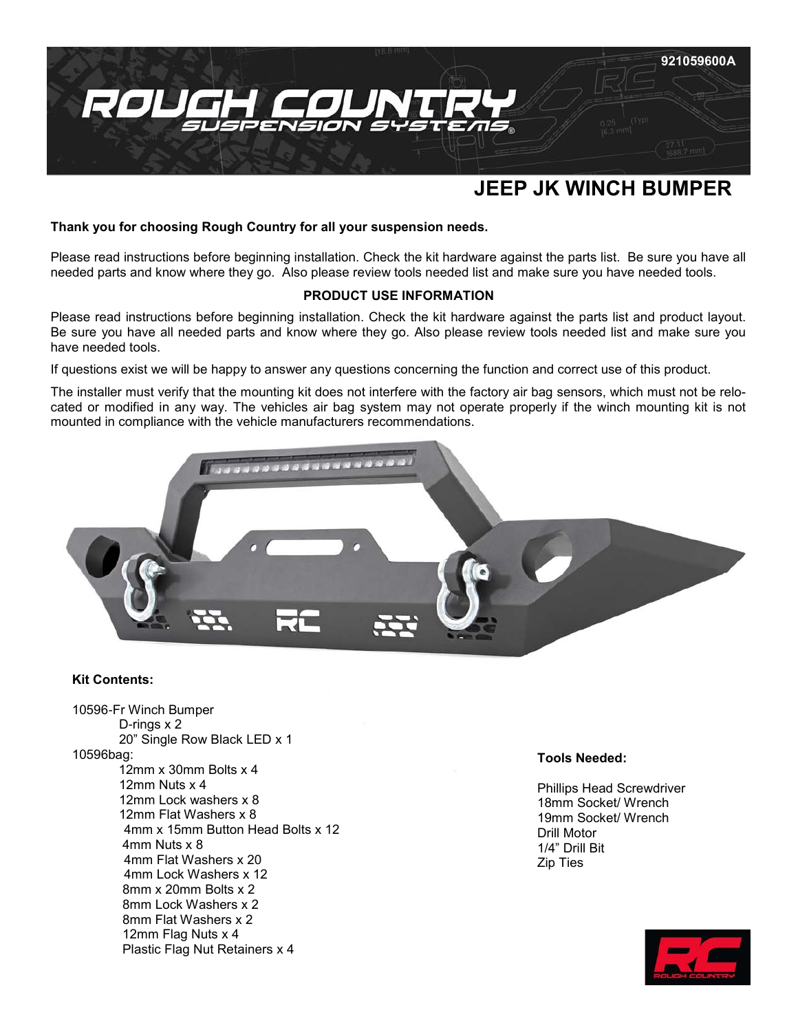

# **JEEP JK WINCH BUMPER**

## **Thank you for choosing Rough Country for all your suspension needs.**

Please read instructions before beginning installation. Check the kit hardware against the parts list. Be sure you have all needed parts and know where they go. Also please review tools needed list and make sure you have needed tools.

# **PRODUCT USE INFORMATION**

Please read instructions before beginning installation. Check the kit hardware against the parts list and product layout. Be sure you have all needed parts and know where they go. Also please review tools needed list and make sure you have needed tools.

If questions exist we will be happy to answer any questions concerning the function and correct use of this product.

The installer must verify that the mounting kit does not interfere with the factory air bag sensors, which must not be relocated or modified in any way. The vehicles air bag system may not operate properly if the winch mounting kit is not mounted in compliance with the vehicle manufacturers recommendations.



## **Kit Contents:**

10596-Fr Winch Bumper D-rings x 2 20" Single Row Black LED x 1 10596bag: 12mm x 30mm Bolts x 4 12mm Nuts x 4 12mm Lock washers x 8 12mm Flat Washers x 8 4mm x 15mm Button Head Bolts x 12 4mm Nuts x 8 4mm Flat Washers x 20 4mm Lock Washers x 12 8mm x 20mm Bolts x 2 8mm Lock Washers x 2 8mm Flat Washers x 2 12mm Flag Nuts x 4 Plastic Flag Nut Retainers x 4

#### **Tools Needed:**

Phillips Head Screwdriver 18mm Socket/ Wrench 19mm Socket/ Wrench Drill Motor 1/4" Drill Bit Zip Ties

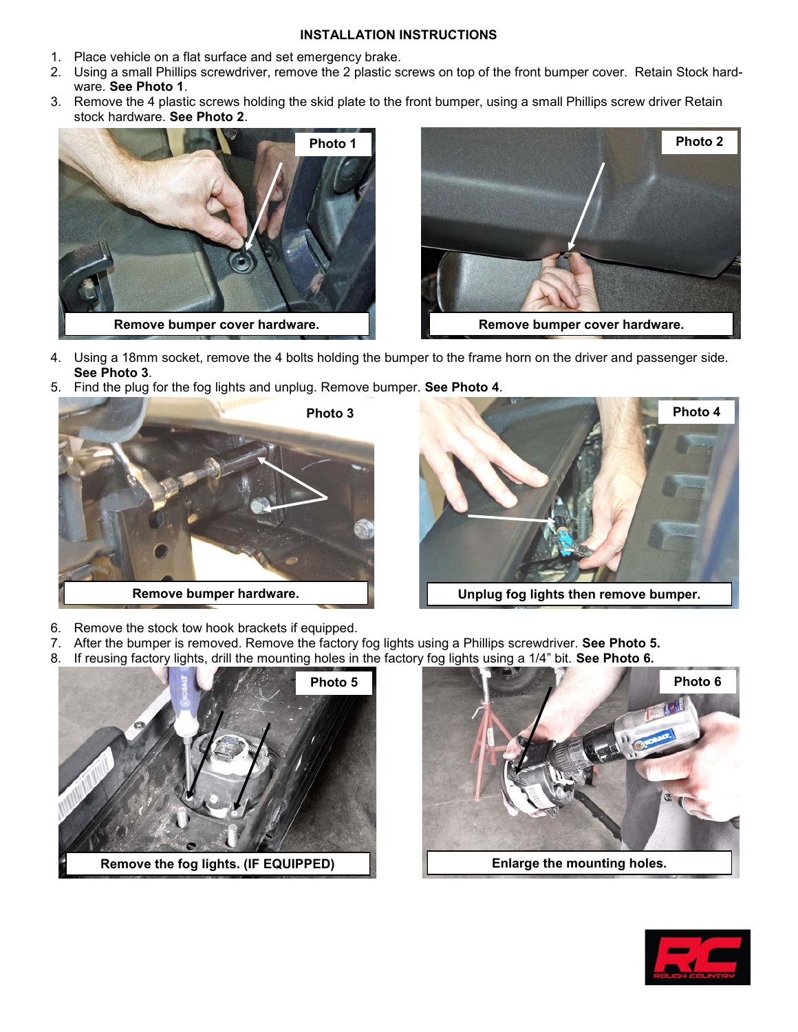## **INSTALLATION INSTRUCTIONS**

- 1. Place vehicle on a flat surface and set emergency brake.
- 2. Using a small Phillips screwdriver, remove the 2 plastic screws on top of the front bumper cover. Retain Stock hardware. **See Photo 1**.
- 3. Remove the 4 plastic screws holding the skid plate to the front bumper, using a small Phillips screw driver Retain stock hardware. **See Photo 2**.





- 4. Using a 18mm socket, remove the 4 bolts holding the bumper to the frame horn on the driver and passenger side. **See Photo 3**.
- 5. Find the plug for the fog lights and unplug. Remove bumper. **See Photo 4**.





- 6. Remove the stock tow hook brackets if equipped.
- 7. After the bumper is removed. Remove the factory fog lights using a Phillips screwdriver. **See Photo 5.**
- 8. If reusing factory lights, drill the mounting holes in the factory fog lights using a 1/4" bit. **See Photo 6.**





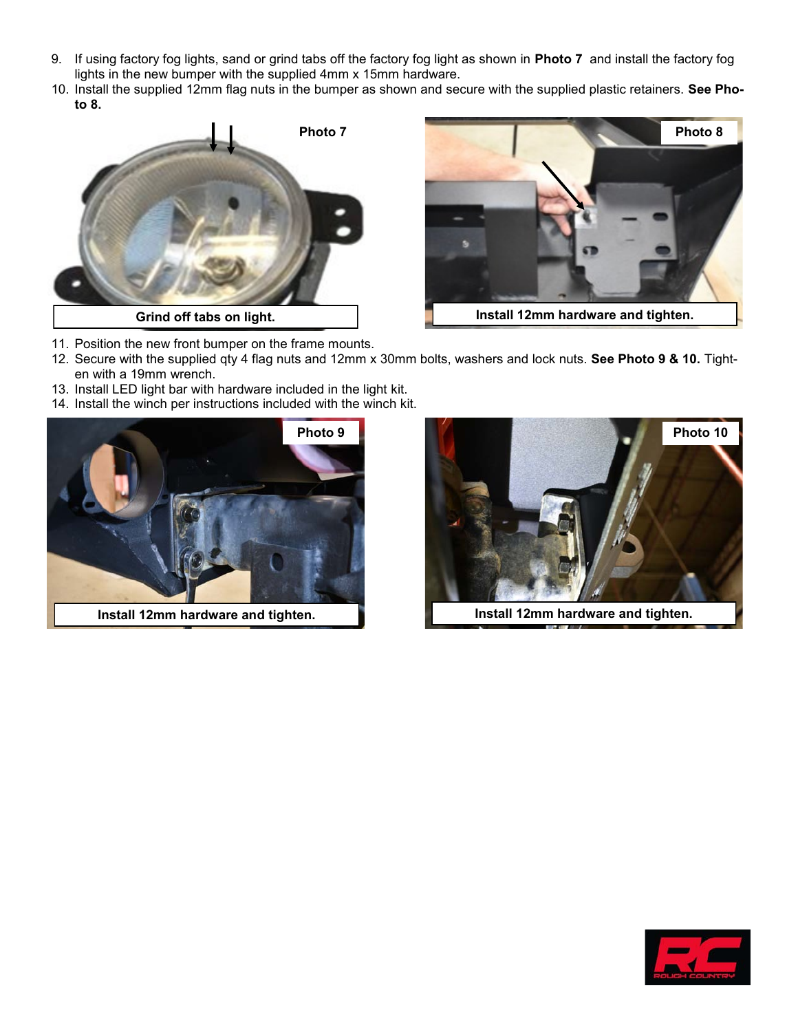- 9. If using factory fog lights, sand or grind tabs off the factory fog light as shown in **Photo 7** and install the factory fog lights in the new bumper with the supplied 4mm x 15mm hardware.
- 10. Install the supplied 12mm flag nuts in the bumper as shown and secure with the supplied plastic retainers. **See Photo 8.**





- **Install 12mm hardware and tighten.**
- 11. Position the new front bumper on the frame mounts.
- 12. Secure with the supplied qty 4 flag nuts and 12mm x 30mm bolts, washers and lock nuts. **See Photo 9 & 10.** Tighten with a 19mm wrench.
- 13. Install LED light bar with hardware included in the light kit.
- 14. Install the winch per instructions included with the winch kit.





Install 12mm hardware and tighten. **Install 12mm hardware and tighten.**